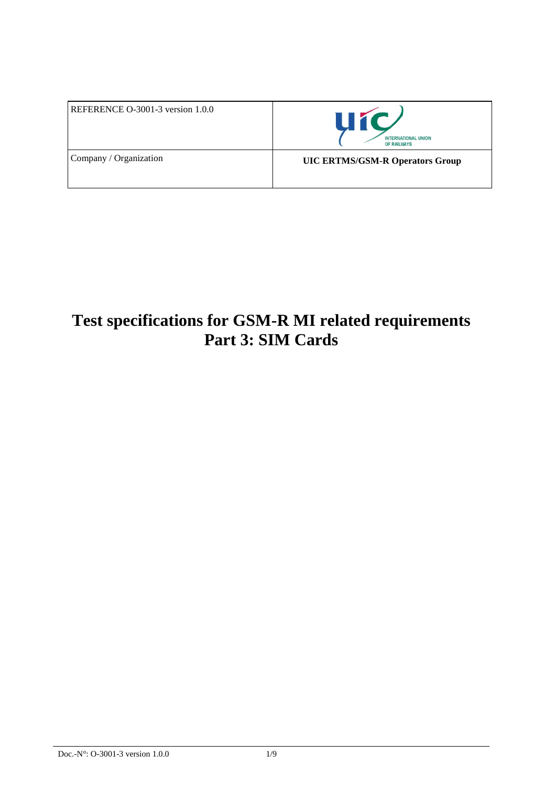| REFERENCE O-3001-3 version 1.0.0 | <b>UIC</b><br><b>INTERNATIONAL UNION</b><br>OF RAILWAYS |
|----------------------------------|---------------------------------------------------------|
| Company / Organization           | <b>UIC ERTMS/GSM-R Operators Group</b>                  |

# **Test specifications for GSM-R MI related requirements Part 3: SIM Cards**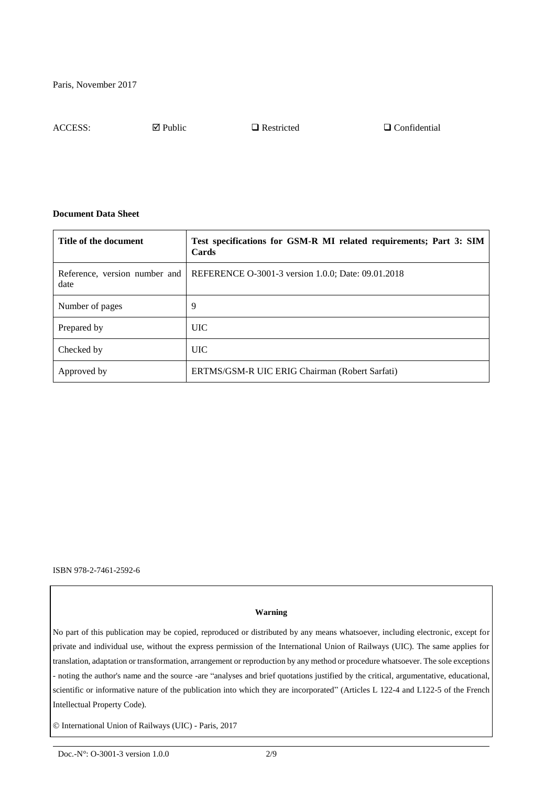ACCESS:  $\Box$  Public  $\Box$  Restricted  $\Box$  Confidential

#### **Document Data Sheet**

| Title of the document                 | Test specifications for GSM-R MI related requirements; Part 3: SIM<br>Cards |
|---------------------------------------|-----------------------------------------------------------------------------|
| Reference, version number and<br>date | REFERENCE O-3001-3 version 1.0.0; Date: 09.01.2018                          |
| Number of pages                       | 9                                                                           |
| Prepared by                           | <b>UIC</b>                                                                  |
| Checked by                            | <b>UIC</b>                                                                  |
| Approved by                           | ERTMS/GSM-R UIC ERIG Chairman (Robert Sarfati)                              |

ISBN 978-2-7461-2592-6

#### **Warning**

No part of this publication may be copied, reproduced or distributed by any means whatsoever, including electronic, except for private and individual use, without the express permission of the International Union of Railways (UIC). The same applies for translation, adaptation or transformation, arrangement or reproduction by any method or procedure whatsoever. The sole exceptions - noting the author's name and the source -are "analyses and brief quotations justified by the critical, argumentative, educational, scientific or informative nature of the publication into which they are incorporated" (Articles L 122-4 and L122-5 of the French Intellectual Property Code).

International Union of Railways (UIC) - Paris, 2017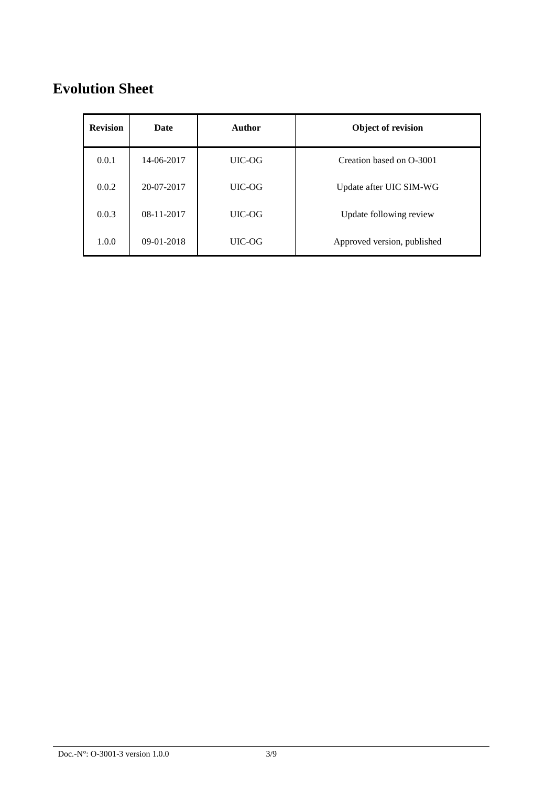## **Evolution Sheet**

| <b>Revision</b> | Date         | Author | <b>Object of revision</b>   |
|-----------------|--------------|--------|-----------------------------|
| 0.0.1           | 14-06-2017   | UIC-OG | Creation based on O-3001    |
| 0.0.2           | 20-07-2017   | UIC-OG | Update after UIC SIM-WG     |
| 0.0.3           | $08-11-2017$ | UIC-OG | Update following review     |
| 1.0.0           | $09-01-2018$ | UIC-OG | Approved version, published |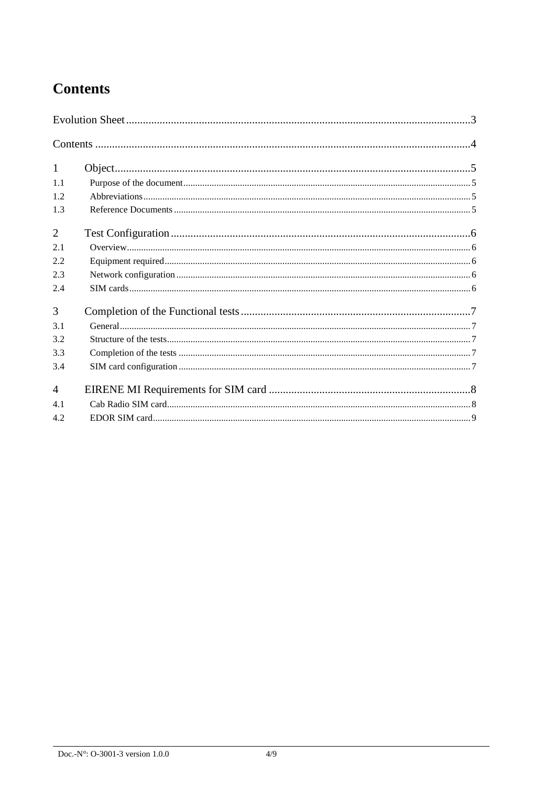### **Contents**

| $\mathbf{1}$   |  |  |
|----------------|--|--|
| 1.1            |  |  |
| 1.2            |  |  |
| 1.3            |  |  |
| $\overline{2}$ |  |  |
| 2.1            |  |  |
| 2.2            |  |  |
| 2.3            |  |  |
| 2.4            |  |  |
| 3              |  |  |
| 3.1            |  |  |
| 3.2            |  |  |
| 3.3            |  |  |
| 3.4            |  |  |
| $\overline{A}$ |  |  |
| 4.1            |  |  |
| 4.2            |  |  |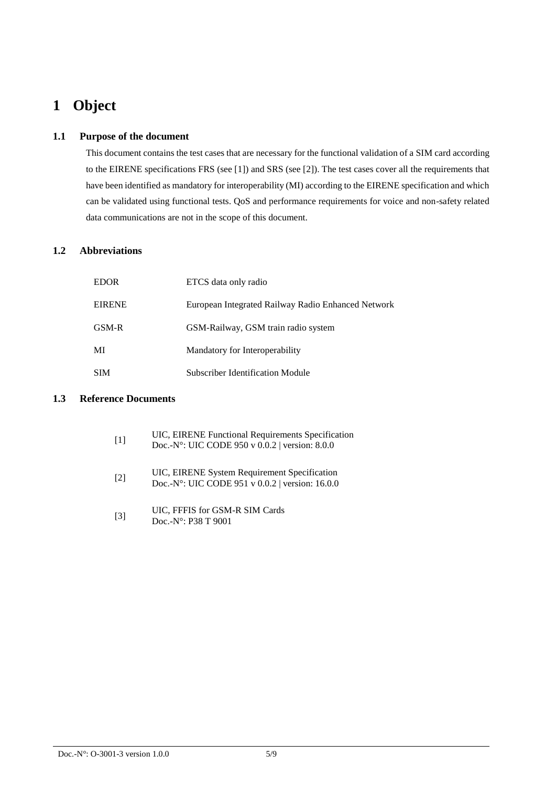### **1 Object**

#### **1.1 Purpose of the document**

This document contains the test cases that are necessary for the functional validation of a SIM card according to the EIRENE specifications FRS (see [1]) and SRS (see [2]). The test cases cover all the requirements that have been identified as mandatory for interoperability (MI) according to the EIRENE specification and which can be validated using functional tests. QoS and performance requirements for voice and non-safety related data communications are not in the scope of this document.

### **1.2 Abbreviations**

| <b>EDOR</b>   | ETCS data only radio                               |
|---------------|----------------------------------------------------|
| <b>EIRENE</b> | European Integrated Railway Radio Enhanced Network |
| GSM-R         | GSM-Railway, GSM train radio system                |
| MI            | Mandatory for Interoperability                     |
| <b>SIM</b>    | Subscriber Identification Module                   |

#### **1.3 Reference Documents**

| $[1]$             | UIC, EIRENE Functional Requirements Specification<br>Doc.-N°: UIC CODE 950 v 0.0.2   version: 8.0.0 |
|-------------------|-----------------------------------------------------------------------------------------------------|
| $\lceil 2 \rceil$ | UIC, EIRENE System Requirement Specification<br>Doc.-N°: UIC CODE 951 v 0.0.2   version: 16.0.0     |
| $\lceil 3 \rceil$ | UIC, FFFIS for GSM-R SIM Cards<br>Doc.-N°: P38 T 9001                                               |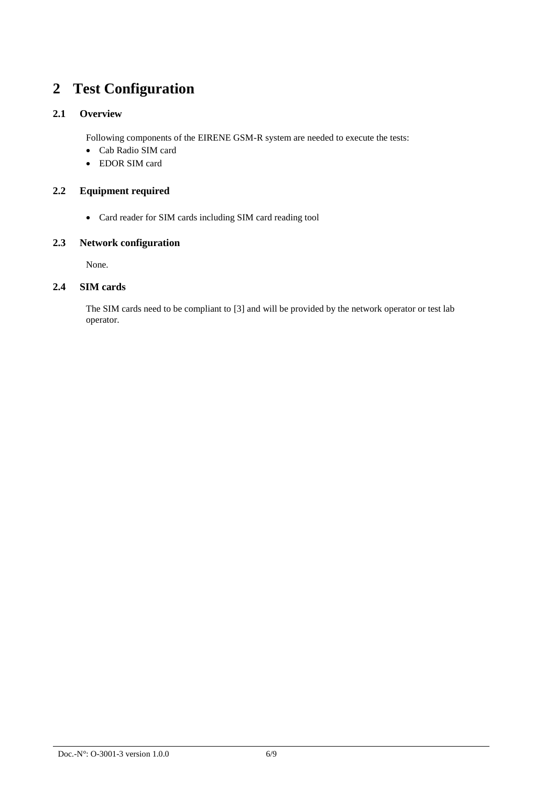### **2 Test Configuration**

### **2.1 Overview**

Following components of the EIRENE GSM-R system are needed to execute the tests:

- Cab Radio SIM card
- EDOR SIM card

### **2.2 Equipment required**

Card reader for SIM cards including SIM card reading tool

#### **2.3 Network configuration**

None.

#### **2.4 SIM cards**

The SIM cards need to be compliant to [3] and will be provided by the network operator or test lab operator.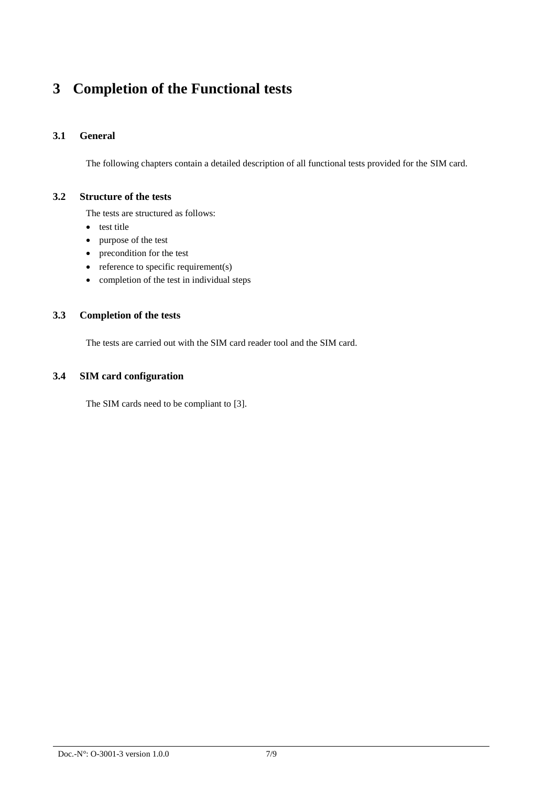### **3 Completion of the Functional tests**

### **3.1 General**

The following chapters contain a detailed description of all functional tests provided for the SIM card.

#### **3.2 Structure of the tests**

The tests are structured as follows:

- test title
- purpose of the test
- precondition for the test
- $\bullet$  reference to specific requirement(s)
- completion of the test in individual steps

#### **3.3 Completion of the tests**

The tests are carried out with the SIM card reader tool and the SIM card.

#### **3.4 SIM card configuration**

The SIM cards need to be compliant to [3].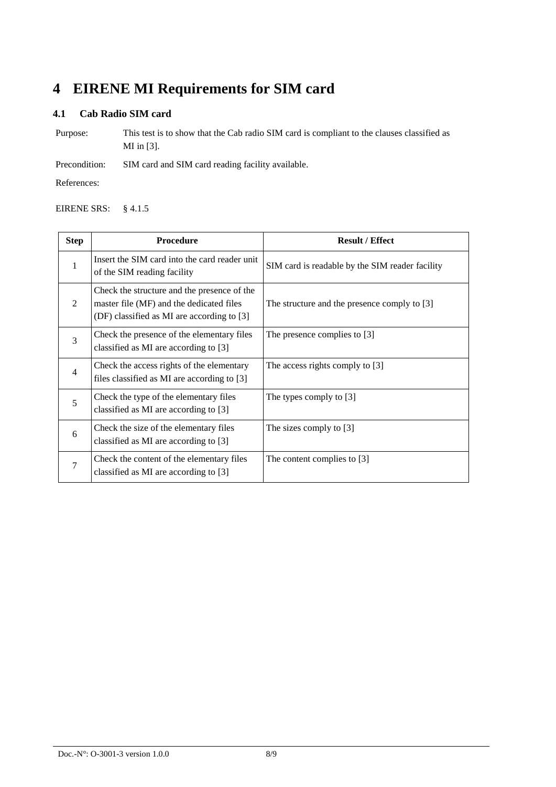### **4 EIRENE MI Requirements for SIM card**

#### **4.1 Cab Radio SIM card**

Purpose: This test is to show that the Cab radio SIM card is compliant to the clauses classified as MI in [3].

Precondition: SIM card and SIM card reading facility available.

References:

#### EIRENE SRS: § 4.1.5

| <b>Step</b>    | <b>Procedure</b>                                                                                                                      | <b>Result / Effect</b>                          |
|----------------|---------------------------------------------------------------------------------------------------------------------------------------|-------------------------------------------------|
| 1              | Insert the SIM card into the card reader unit<br>of the SIM reading facility                                                          | SIM card is readable by the SIM reader facility |
| $\mathfrak{D}$ | Check the structure and the presence of the<br>master file (MF) and the dedicated files<br>(DF) classified as MI are according to [3] | The structure and the presence comply to [3]    |
| $\overline{3}$ | Check the presence of the elementary files<br>classified as MI are according to [3]                                                   | The presence complies to [3]                    |
| $\overline{4}$ | Check the access rights of the elementary<br>files classified as MI are according to [3]                                              | The access rights comply to [3]                 |
| 5              | Check the type of the elementary files<br>classified as MI are according to [3]                                                       | The types comply to [3]                         |
| 6              | Check the size of the elementary files<br>classified as MI are according to [3]                                                       | The sizes comply to [3]                         |
| $\overline{7}$ | Check the content of the elementary files<br>classified as MI are according to [3]                                                    | The content complies to [3]                     |